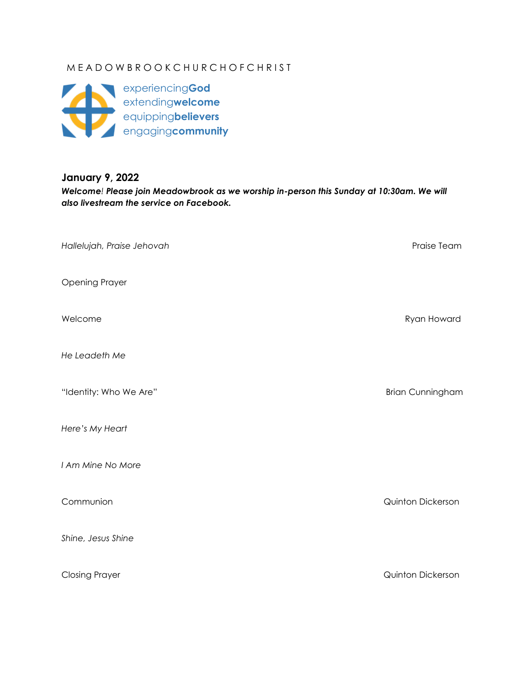# M E A D O W B R O O K C H U R C H O F C H R I S T



## **January 9, 2022**

*Welcome! Please join Meadowbrook as we worship in-person this Sunday at 10:30am. We will also livestream the service on Facebook.*

| Hallelujah, Praise Jehovah | Praise Team             |
|----------------------------|-------------------------|
| <b>Opening Prayer</b>      |                         |
| Welcome                    | Ryan Howard             |
| He Leadeth Me              |                         |
| "Identity: Who We Are"     | <b>Brian Cunningham</b> |
| Here's My Heart            |                         |
| I Am Mine No More          |                         |
| Communion                  | Quinton Dickerson       |
| Shine, Jesus Shine         |                         |
| <b>Closing Prayer</b>      | Quinton Dickerson       |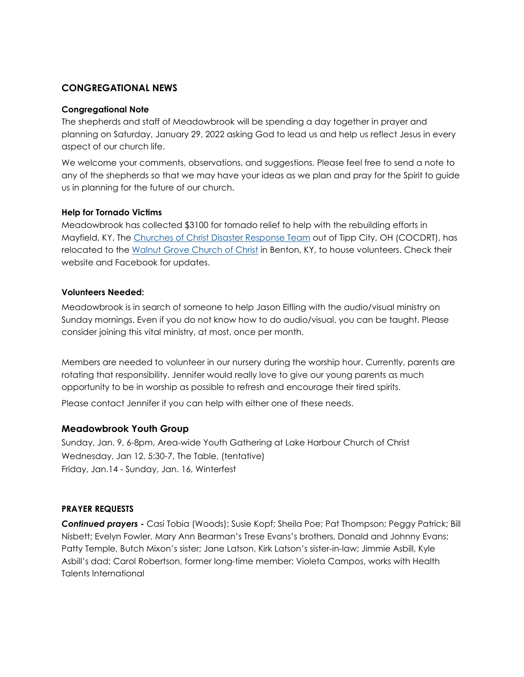### **CONGREGATIONAL NEWS**

#### **Congregational Note**

The shepherds and staff of Meadowbrook will be spending a day together in prayer and planning on Saturday, January 29, 2022 asking God to lead us and help us reflect Jesus in every aspect of our church life.

We welcome your comments, observations, and suggestions. Please feel free to send a note to any of the shepherds so that we may have your ideas as we plan and pray for the Spirit to guide us in planning for the future of our church.

#### **Help for Tornado Victims**

Meadowbrook has collected \$3100 for tornado relief to help with the rebuilding efforts in Mayfield, KY. The [Churches of Christ Disaster Response Team](https://www.churchesofchristdrt.org/) out of Tipp City, OH (COCDRT), has relocated to the [Walnut Grove Church of Christ](http://www.walnutgrovechurchofchrist.org/) in Benton, KY, to house volunteers. Check their website and Facebook for updates.

#### **Volunteers Needed:**

Meadowbrook is in search of someone to help Jason Eifling with the audio/visual ministry on Sunday mornings. Even if you do not know how to do audio/visual, you can be taught. Please consider joining this vital ministry, at most, once per month.

Members are needed to volunteer in our nursery during the worship hour. Currently, parents are rotating that responsibility. Jennifer would really love to give our young parents as much opportunity to be in worship as possible to refresh and encourage their tired spirits.

Please contact Jennifer if you can help with either one of these needs.

#### **Meadowbrook Youth Group**

Sunday, Jan. 9, 6-8pm, Area-wide Youth Gathering at Lake Harbour Church of Christ Wednesday, Jan 12, 5:30-7, The Table, (tentative) Friday, Jan.14 - Sunday, Jan. 16, Winterfest

#### **PRAYER REQUESTS**

*Continued prayers* **-** Casi Tobia (Woods); Susie Kopf; Sheila Poe; Pat Thompson; Peggy Patrick; Bill Nisbett; Evelyn Fowler, Mary Ann Bearman's Trese Evans's brothers, Donald and Johnny Evans; Patty Temple, Butch Mixon's sister; Jane Latson, Kirk Latson's sister-in-law; Jimmie Asbill, Kyle Asbill's dad; Carol Robertson, former long-time member; Violeta Campos, works with Health Talents International